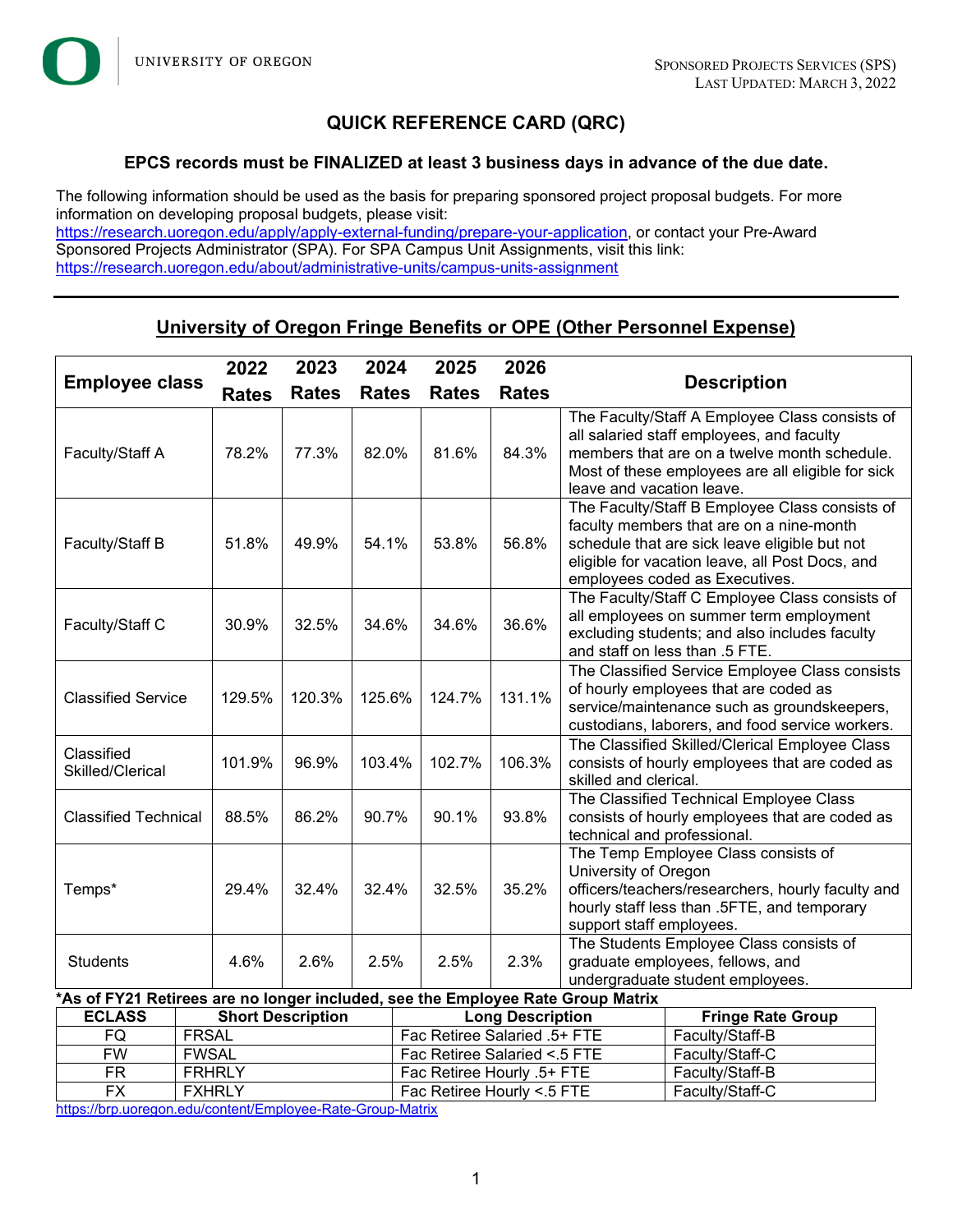

# **QUICK REFERENCE CARD (QRC)**

### **EPCS records must be FINALIZED at least 3 business days in advance of the due date.**

The following information should be used as the basis for preparing sponsored project proposal budgets. For more information on developing proposal budgets, please visit:

[https://research.uoregon.edu/apply/apply-external-funding/prepare-your-application,](https://research.uoregon.edu/apply/apply-external-funding/prepare-your-application) or contact your Pre-Award Sponsored Projects Administrator (SPA). For SPA Campus Unit Assignments, visit this link: <https://research.uoregon.edu/about/administrative-units/campus-units-assignment>

# **University of Oregon Fringe Benefits or OPE (Other Personnel Expense)**

| <b>Employee class</b>                                    |                                                                                                         | 2022         | 2023<br>2024                                                                              |                                                          |                              | 2025<br>2026 |                                                                                                                           |                                                                                                                                                                                                                                  |                                                                                                                                                                              |  |  |
|----------------------------------------------------------|---------------------------------------------------------------------------------------------------------|--------------|-------------------------------------------------------------------------------------------|----------------------------------------------------------|------------------------------|--------------|---------------------------------------------------------------------------------------------------------------------------|----------------------------------------------------------------------------------------------------------------------------------------------------------------------------------------------------------------------------------|------------------------------------------------------------------------------------------------------------------------------------------------------------------------------|--|--|
|                                                          |                                                                                                         | <b>Rates</b> | <b>Rates</b>                                                                              | <b>Rates</b>                                             |                              | <b>Rates</b> | <b>Rates</b>                                                                                                              | <b>Description</b>                                                                                                                                                                                                               |                                                                                                                                                                              |  |  |
| Faculty/Staff A                                          |                                                                                                         | 78.2%        | 77.3%                                                                                     | 82.0%                                                    |                              | 81.6%        | 84.3%                                                                                                                     | The Faculty/Staff A Employee Class consists of<br>all salaried staff employees, and faculty<br>members that are on a twelve month schedule.<br>Most of these employees are all eligible for sick<br>leave and vacation leave.    |                                                                                                                                                                              |  |  |
| Faculty/Staff B                                          |                                                                                                         | 51.8%        | 49.9%                                                                                     | 54.1%                                                    |                              | 53.8%        | 56.8%                                                                                                                     | The Faculty/Staff B Employee Class consists of<br>faculty members that are on a nine-month<br>schedule that are sick leave eligible but not<br>eligible for vacation leave, all Post Docs, and<br>employees coded as Executives. |                                                                                                                                                                              |  |  |
| Faculty/Staff C                                          |                                                                                                         | 30.9%        | 32.5%                                                                                     | 34.6%                                                    |                              | 34.6%        | 36.6%                                                                                                                     |                                                                                                                                                                                                                                  | The Faculty/Staff C Employee Class consists of<br>all employees on summer term employment<br>excluding students; and also includes faculty<br>and staff on less than .5 FTE. |  |  |
| <b>Classified Service</b>                                |                                                                                                         | 129.5%       | 120.3%                                                                                    | 125.6%                                                   |                              | 124.7%       | 131.1%                                                                                                                    | The Classified Service Employee Class consists<br>of hourly employees that are coded as<br>service/maintenance such as groundskeepers,<br>custodians, laborers, and food service workers.                                        |                                                                                                                                                                              |  |  |
| Classified<br>101.9%<br>Skilled/Clerical                 |                                                                                                         | 96.9%        | 103.4%                                                                                    |                                                          | 102.7%                       | 106.3%       | The Classified Skilled/Clerical Employee Class<br>consists of hourly employees that are coded as<br>skilled and clerical. |                                                                                                                                                                                                                                  |                                                                                                                                                                              |  |  |
|                                                          | 93.8%<br><b>Classified Technical</b><br>88.5%<br>86.2%<br>90.7%<br>90.1%<br>technical and professional. |              | The Classified Technical Employee Class<br>consists of hourly employees that are coded as |                                                          |                              |              |                                                                                                                           |                                                                                                                                                                                                                                  |                                                                                                                                                                              |  |  |
| Temps*                                                   |                                                                                                         | 29.4%        | 32.4%                                                                                     | 32.4%                                                    |                              | 32.5%        | 35.2%                                                                                                                     | The Temp Employee Class consists of<br>University of Oregon<br>officers/teachers/researchers, hourly faculty and<br>hourly staff less than .5FTE, and temporary<br>support staff employees.                                      |                                                                                                                                                                              |  |  |
| 4.6%<br><b>Students</b>                                  |                                                                                                         | 2.6%         | 2.5%                                                                                      |                                                          | 2.5%                         | 2.3%         | The Students Employee Class consists of<br>graduate employees, fellows, and<br>undergraduate student employees.           |                                                                                                                                                                                                                                  |                                                                                                                                                                              |  |  |
|                                                          | *As of FY21 Retirees are no longer included, see the Employee Rate Group Matrix                         |              |                                                                                           |                                                          |                              |              |                                                                                                                           |                                                                                                                                                                                                                                  |                                                                                                                                                                              |  |  |
| <b>ECLASS</b><br><b>Short Description</b>                |                                                                                                         |              |                                                                                           | <b>Long Description</b>                                  |                              |              |                                                                                                                           | <b>Fringe Rate Group</b>                                                                                                                                                                                                         |                                                                                                                                                                              |  |  |
| FQ                                                       | <b>FRSAL</b>                                                                                            |              |                                                                                           |                                                          | Fac Retiree Salaried .5+ FTE |              |                                                                                                                           |                                                                                                                                                                                                                                  | Faculty/Staff-B                                                                                                                                                              |  |  |
| <b>FWSAL</b><br><b>FW</b>                                |                                                                                                         |              | Fac Retiree Salaried <. 5 FTE                                                             |                                                          |                              |              | Faculty/Staff-C                                                                                                           |                                                                                                                                                                                                                                  |                                                                                                                                                                              |  |  |
| <b>FR</b><br><b>FRHRLY</b><br><b>FX</b><br><b>FXHRLY</b> |                                                                                                         |              |                                                                                           | Fac Retiree Hourly .5+ FTE<br>Fac Retiree Hourly < 5 FTE |                              |              |                                                                                                                           | Faculty/Staff-B<br>Faculty/Staff-C                                                                                                                                                                                               |                                                                                                                                                                              |  |  |

FXHRLY FXHRLY Fac Retiree Hourly <.5 FTE <https://brp.uoregon.edu/content/Employee-Rate-Group-Matrix>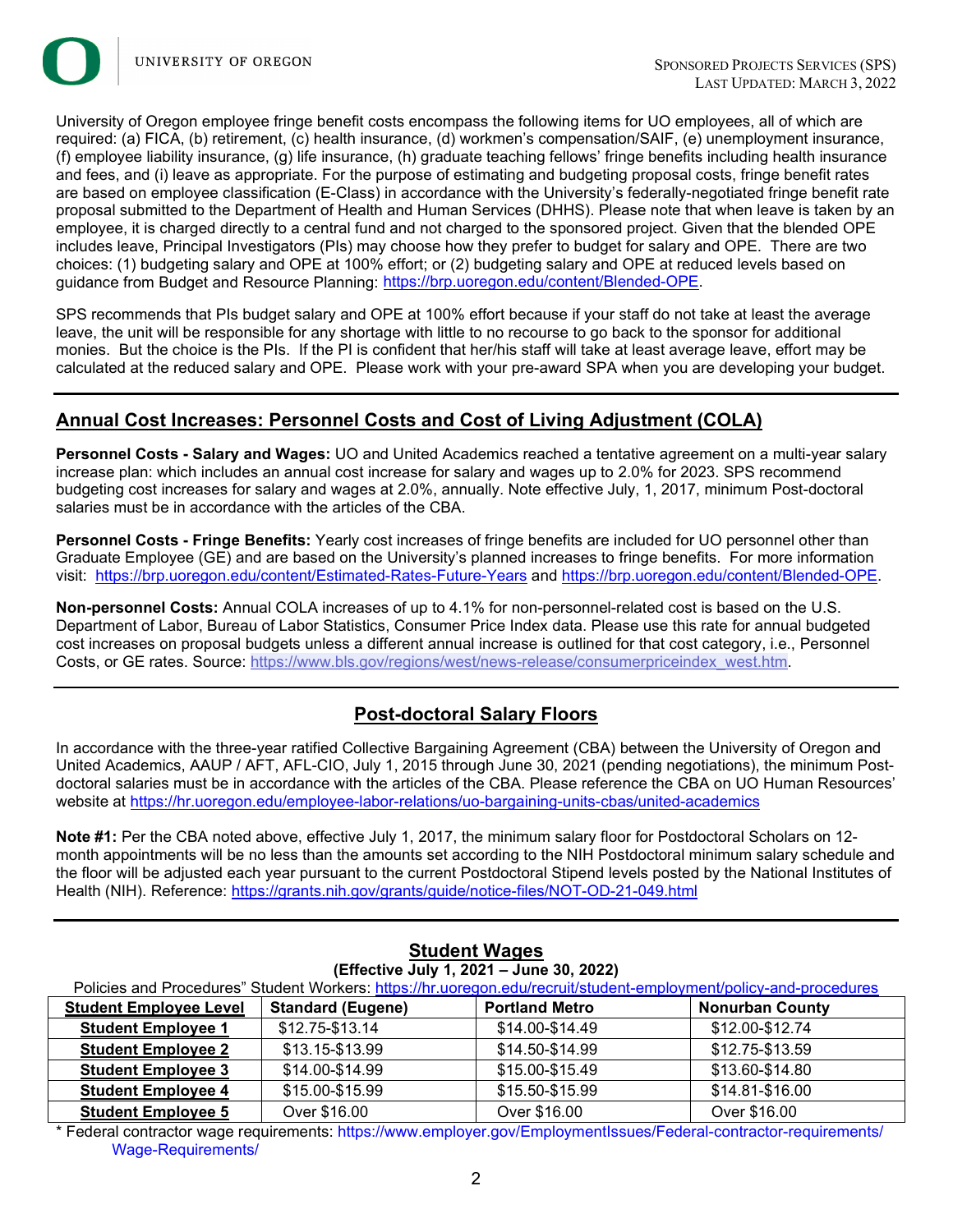

University of Oregon employee fringe benefit costs encompass the following items for UO employees, all of which are required: (a) FICA, (b) retirement, (c) health insurance, (d) workmen's compensation/SAIF, (e) unemployment insurance, (f) employee liability insurance, (g) life insurance, (h) graduate teaching fellows' fringe benefits including health insurance and fees, and (i) leave as appropriate. For the purpose of estimating and budgeting proposal costs, fringe benefit rates are based on employee classification (E-Class) in accordance with the University's federally-negotiated fringe benefit rate proposal submitted to the Department of Health and Human Services (DHHS). Please note that when leave is taken by an employee, it is charged directly to a central fund and not charged to the sponsored project. Given that the blended OPE includes leave, Principal Investigators (PIs) may choose how they prefer to budget for salary and OPE. There are two choices: (1) budgeting salary and OPE at 100% effort; or (2) budgeting salary and OPE at reduced levels based on guidance from Budget and Resource Planning: [https://brp.uoregon.edu/content/Blended-OPE.](https://brp.uoregon.edu/content/Blended-OPE) 

SPS recommends that PIs budget salary and OPE at 100% effort because if your staff do not take at least the average leave, the unit will be responsible for any shortage with little to no recourse to go back to the sponsor for additional monies. But the choice is the PIs. If the PI is confident that her/his staff will take at least average leave, effort may be calculated at the reduced salary and OPE. Please work with your pre-award SPA when you are developing your budget.

## **Annual Cost Increases: Personnel Costs and Cost of Living Adjustment (COLA)**

**Personnel Costs - Salary and Wages:** UO and United Academics reached a tentative agreement on a multi-year salary increase plan: which includes an annual cost increase for salary and wages up to 2.0% for 2023. SPS recommend budgeting cost increases for salary and wages at 2.0%, annually. Note effective July, 1, 2017, minimum Post-doctoral salaries must be in accordance with the articles of the CBA.

**Personnel Costs - Fringe Benefits:** Yearly cost increases of fringe benefits are included for UO personnel other than Graduate Employee (GE) and are based on the University's planned increases to fringe benefits. For more information visit: <https://brp.uoregon.edu/content/Estimated-Rates-Future-Years> and [https://brp.uoregon.edu/content/Blended-OPE.](https://brp.uoregon.edu/content/Blended-OPE)

**Non-personnel Costs:** Annual COLA increases of up to 4.1% for non-personnel-related cost is based on the U.S. Department of Labor, Bureau of Labor Statistics, Consumer Price Index data. Please use this rate for annual budgeted cost increases on proposal budgets unless a different annual increase is outlined for that cost category, i.e., Personnel Costs, or GE rates. Source: [https://www.bls.gov/regions/west/news-release/consumerpriceindex\\_west.htm.](https://www.bls.gov/regions/west/news-release/consumerpriceindex_west.htm)

# **Post-doctoral Salary Floors**

In accordance with the three-year ratified Collective Bargaining Agreement (CBA) between the University of Oregon and United Academics, AAUP / AFT, AFL-CIO, July 1, 2015 through June 30, 2021 (pending negotiations), the minimum Postdoctoral salaries must be in accordance with the articles of the CBA. Please reference the CBA on UO Human Resources' website at<https://hr.uoregon.edu/employee-labor-relations/uo-bargaining-units-cbas/united-academics>

**Note #1:** Per the CBA noted above, effective July 1, 2017, the minimum salary floor for Postdoctoral Scholars on 12 month appointments will be no less than the amounts set according to the NIH Postdoctoral minimum salary schedule and the floor will be adjusted each year pursuant to the current Postdoctoral Stipend levels posted by the National Institutes of Health (NIH). Reference:<https://grants.nih.gov/grants/guide/notice-files/NOT-OD-21-049.html>

| (Effective July 1, 2021 - June 30, 2022)                                                                          |                          |                       |                        |  |  |  |
|-------------------------------------------------------------------------------------------------------------------|--------------------------|-----------------------|------------------------|--|--|--|
| Policies and Procedures" Student Workers: https://hr.uoregon.edu/recruit/student-employment/policy-and-procedures |                          |                       |                        |  |  |  |
| <b>Student Employee Level</b>                                                                                     | <b>Standard (Eugene)</b> | <b>Portland Metro</b> | <b>Nonurban County</b> |  |  |  |
| <b>Student Employee 1</b>                                                                                         | \$12.75-\$13.14          | \$14.00-\$14.49       | \$12.00-\$12.74        |  |  |  |
| <b>Student Employee 2</b>                                                                                         | \$13.15-\$13.99          | \$14.50-\$14.99       | \$12.75-\$13.59        |  |  |  |
| <b>Student Employee 3</b>                                                                                         | \$14.00-\$14.99          | \$15.00-\$15.49       | \$13.60-\$14.80        |  |  |  |
| <b>Student Employee 4</b>                                                                                         | \$15.00-\$15.99          | \$15.50-\$15.99       | \$14.81-\$16.00        |  |  |  |
| <b>Student Employee 5</b>                                                                                         | Over \$16.00             | Over \$16.00          | Over \$16.00           |  |  |  |

# **Student Wages**

\* Federal contractor wage requirements: https://www.employer.gov/EmploymentIssues/Federal-contractor-requirements/ Wage-Requirements/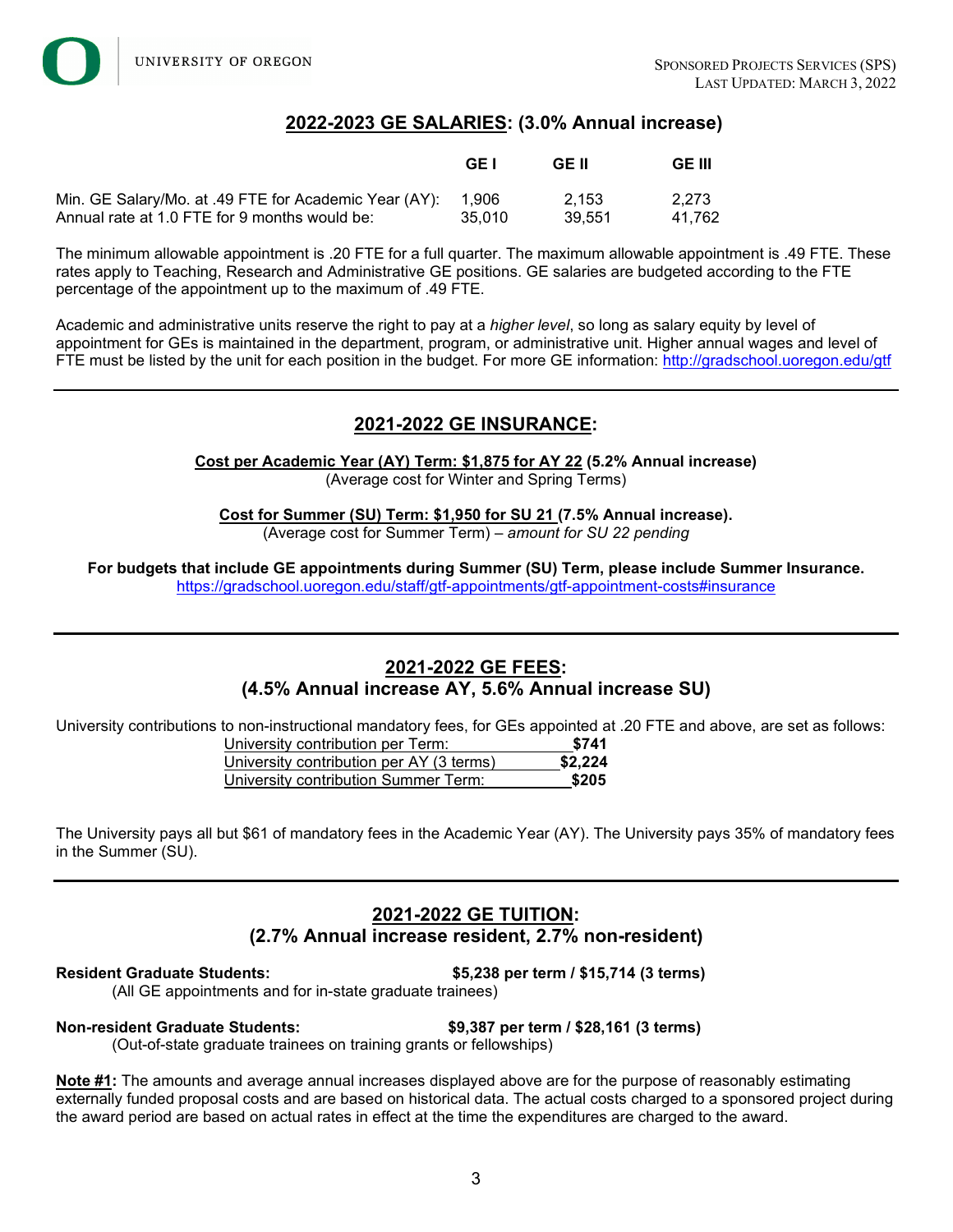## **2022-2023 GE SALARIES: (3.0% Annual increase)**

|                                                             | GE I   | GE II  | GE III |
|-------------------------------------------------------------|--------|--------|--------|
| Min. GE Salary/Mo. at .49 FTE for Academic Year (AY): 1,906 | 35.010 | 2.153  | 2.273  |
| Annual rate at 1.0 FTE for 9 months would be:               |        | 39.551 | 41.762 |

The minimum allowable appointment is .20 FTE for a full quarter. The maximum allowable appointment is .49 FTE. These rates apply to Teaching, Research and Administrative GE positions. GE salaries are budgeted according to the FTE percentage of the appointment up to the maximum of .49 FTE.

Academic and administrative units reserve the right to pay at a *higher level*, so long as salary equity by level of appointment for GEs is maintained in the department, program, or administrative unit. Higher annual wages and level of FTE must be listed by the unit for each position in the budget. For more GE information: <http://gradschool.uoregon.edu/gtf>

## **2021-2022 GE INSURANCE:**

**Cost per Academic Year (AY) Term: \$1,875 for AY 22 (5.2% Annual increase)** (Average cost for Winter and Spring Terms)

**Cost for Summer (SU) Term: \$1,950 for SU 21 (7.5% Annual increase).** (Average cost for Summer Term) – *amount for SU 22 pending*

**For budgets that include GE appointments during Summer (SU) Term, please include Summer Insurance.** <https://gradschool.uoregon.edu/staff/gtf-appointments/gtf-appointment-costs#insurance>

# **2021-2022 GE FEES: (4.5% Annual increase AY, 5.6% Annual increase SU)**

University contributions to non-instructional mandatory fees, for GEs appointed at .20 FTE and above, are set as follows:

| University contribution per Term:        | \$741   |
|------------------------------------------|---------|
| University contribution per AY (3 terms) | \$2,224 |
| University contribution Summer Term:     | \$205   |

The University pays all but \$61 of mandatory fees in the Academic Year (AY). The University pays 35% of mandatory fees in the Summer (SU).

### **2021-2022 GE TUITION: (2.7% Annual increase resident, 2.7% non-resident)**

**Resident Graduate Students: \$5,238 per term / \$15,714 (3 terms)**

(All GE appointments and for in-state graduate trainees)

### **Non-resident Graduate Students: \$9,387 per term / \$28,161 (3 terms)**

(Out-of-state graduate trainees on training grants or fellowships)

**Note #1:** The amounts and average annual increases displayed above are for the purpose of reasonably estimating externally funded proposal costs and are based on historical data. The actual costs charged to a sponsored project during the award period are based on actual rates in effect at the time the expenditures are charged to the award.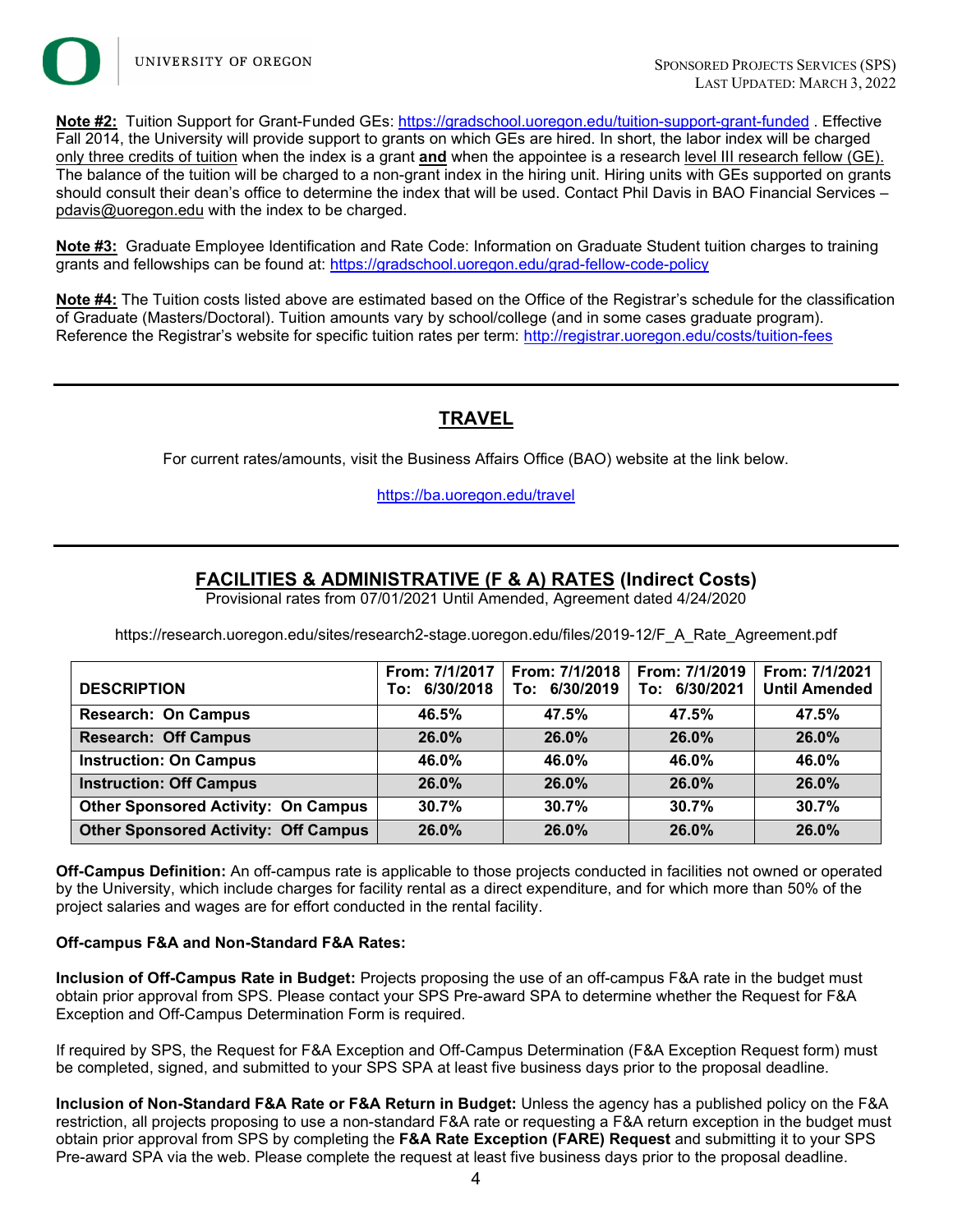

**Note #2:** Tuition Support for Grant-Funded GEs: <https://gradschool.uoregon.edu/tuition-support-grant-funded> . Effective Fall 2014, the University will provide support to grants on which GEs are hired. In short, the labor index will be charged only three credits of tuition when the index is a grant **and** when the appointee is a research level III research fellow (GE). The balance of the tuition will be charged to a non-grant index in the hiring unit. Hiring units with GEs supported on grants should consult their dean's office to determine the index that will be used. Contact Phil Davis in BAO Financial Services –  $p$ davis@uoregon.edu with the index to be charged.

**Note #3:** Graduate Employee Identification and Rate Code: Information on Graduate Student tuition charges to training grants and fellowships can be found at:<https://gradschool.uoregon.edu/grad-fellow-code-policy>

**Note #4:** The Tuition costs listed above are estimated based on the Office of the Registrar's schedule for the classification of Graduate (Masters/Doctoral). Tuition amounts vary by school/college (and in some cases graduate program). Reference the Registrar's website for specific tuition rates per term: <http://registrar.uoregon.edu/costs/tuition-fees>

# **TRAVEL**

For current rates/amounts, visit the Business Affairs Office (BAO) website at the link below.

<https://ba.uoregon.edu/travel>

# **FACILITIES & ADMINISTRATIVE (F & A) RATES (Indirect Costs)**

Provisional rates from 07/01/2021 Until Amended, Agreement dated 4/24/2020

https://research.uoregon.edu/sites/research2-stage.uoregon.edu/files/2019-12/F\_A\_Rate\_Agreement.pdf

|                                             | From: 7/1/2017 | From: 7/1/2018 | From: 7/1/2019 | From: 7/1/2021       |
|---------------------------------------------|----------------|----------------|----------------|----------------------|
| <b>DESCRIPTION</b>                          | To: 6/30/2018  | To: 6/30/2019  | To: 6/30/2021  | <b>Until Amended</b> |
| <b>Research: On Campus</b>                  | 46.5%          | 47.5%          | 47.5%          | 47.5%                |
| <b>Research: Off Campus</b>                 | 26.0%          | 26.0%          | 26.0%          | 26.0%                |
| <b>Instruction: On Campus</b>               | 46.0%          | 46.0%          | 46.0%          | 46.0%                |
| <b>Instruction: Off Campus</b>              | 26.0%          | 26.0%          | $26.0\%$       | 26.0%                |
| <b>Other Sponsored Activity: On Campus</b>  | 30.7%          | 30.7%          | 30.7%          | 30.7%                |
| <b>Other Sponsored Activity: Off Campus</b> | 26.0%          | 26.0%          | 26.0%          | 26.0%                |

**Off-Campus Definition:** An off-campus rate is applicable to those projects conducted in facilities not owned or operated by the University, which include charges for facility rental as a direct expenditure, and for which more than 50% of the project salaries and wages are for effort conducted in the rental facility.

### **Off-campus F&A and Non-Standard F&A Rates:**

**Inclusion of Off-Campus Rate in Budget:** Projects proposing the use of an off-campus F&A rate in the budget must obtain prior approval from SPS. Please contact your SPS Pre-award SPA to determine whether the Request for F&A Exception and Off-Campus Determination Form is required.

If required by SPS, the Request for F&A Exception and Off-Campus Determination (F&A Exception Request form) must be completed, signed, and submitted to your SPS SPA at least five business days prior to the proposal deadline.

**Inclusion of Non-Standard F&A Rate or F&A Return in Budget:** Unless the agency has a published policy on the F&A restriction, all projects proposing to use a non-standard F&A rate or requesting a F&A return exception in the budget must obtain prior approval from SPS by completing the **F&A Rate Exception (FARE) Request** and submitting it to your SPS Pre-award SPA via the web. Please complete the request at least five business days prior to the proposal deadline.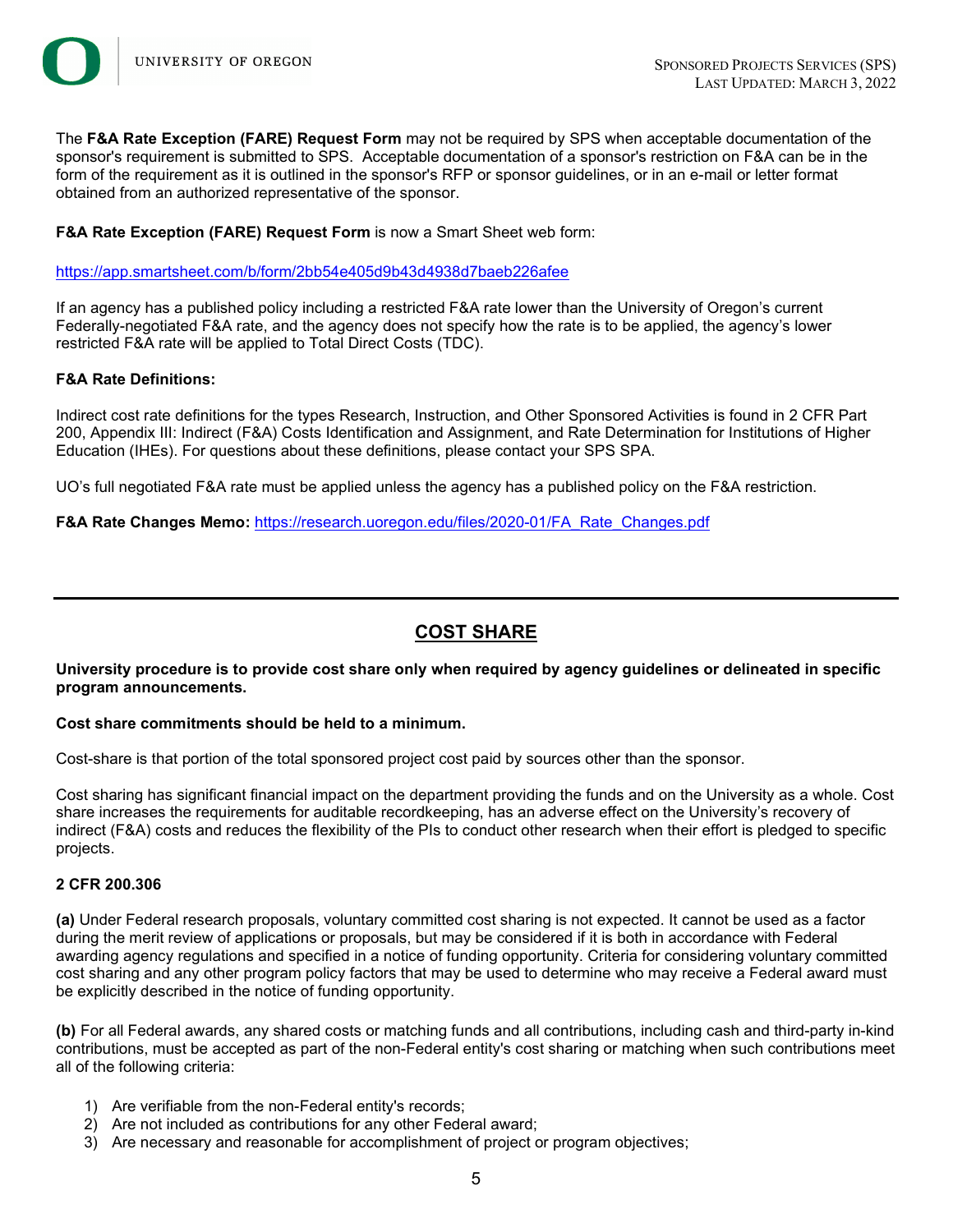

The **F&A Rate Exception (FARE) Request Form** may not be required by SPS when acceptable documentation of the sponsor's requirement is submitted to SPS. Acceptable documentation of a sponsor's restriction on F&A can be in the form of the requirement as it is outlined in the sponsor's RFP or sponsor guidelines, or in an e-mail or letter format obtained from an authorized representative of the sponsor.

### **F&A Rate Exception (FARE) Request Form** is now a Smart Sheet web form:

<https://app.smartsheet.com/b/form/2bb54e405d9b43d4938d7baeb226afee>

If an agency has a published policy including a restricted F&A rate lower than the University of Oregon's current Federally-negotiated F&A rate, and the agency does not specify how the rate is to be applied, the agency's lower restricted F&A rate will be applied to Total Direct Costs (TDC).

### **F&A Rate Definitions:**

Indirect cost rate definitions for the types Research, Instruction, and Other Sponsored Activities is found in 2 CFR Part 200, Appendix III: Indirect (F&A) Costs Identification and Assignment, and Rate Determination for Institutions of Higher Education (IHEs). For questions about these definitions, please contact your SPS SPA.

UO's full negotiated F&A rate must be applied unless the agency has a published policy on the F&A restriction.

**F&A Rate Changes Memo:** [https://research.uoregon.edu/files/2020-01/FA\\_Rate\\_Changes.pdf](https://research.uoregon.edu/files/2020-01/FA_Rate_Changes.pdf)

## **COST SHARE**

**University procedure is to provide cost share only when required by agency guidelines or delineated in specific program announcements.** 

### **Cost share commitments should be held to a minimum.**

Cost-share is that portion of the total sponsored project cost paid by sources other than the sponsor.

Cost sharing has significant financial impact on the department providing the funds and on the University as a whole. Cost share increases the requirements for auditable recordkeeping, has an adverse effect on the University's recovery of indirect (F&A) costs and reduces the flexibility of the PIs to conduct other research when their effort is pledged to specific projects.

### **2 CFR 200.306**

**(a)** Under Federal research proposals, voluntary committed cost sharing is not expected. It cannot be used as a factor during the merit review of applications or proposals, but may be considered if it is both in accordance with Federal awarding agency regulations and specified in a notice of funding opportunity. Criteria for considering voluntary committed cost sharing and any other program policy factors that may be used to determine who may receive a Federal award must be explicitly described in the notice of funding opportunity.

**(b)** For all Federal awards, any shared costs or matching funds and all contributions, including cash and third-party in-kind contributions, must be accepted as part of the non-Federal entity's cost sharing or matching when such contributions meet all of the following criteria:

- 1) Are verifiable from the non-Federal entity's records;
- 2) Are not included as contributions for any other Federal award;
- 3) Are necessary and reasonable for accomplishment of project or program objectives;